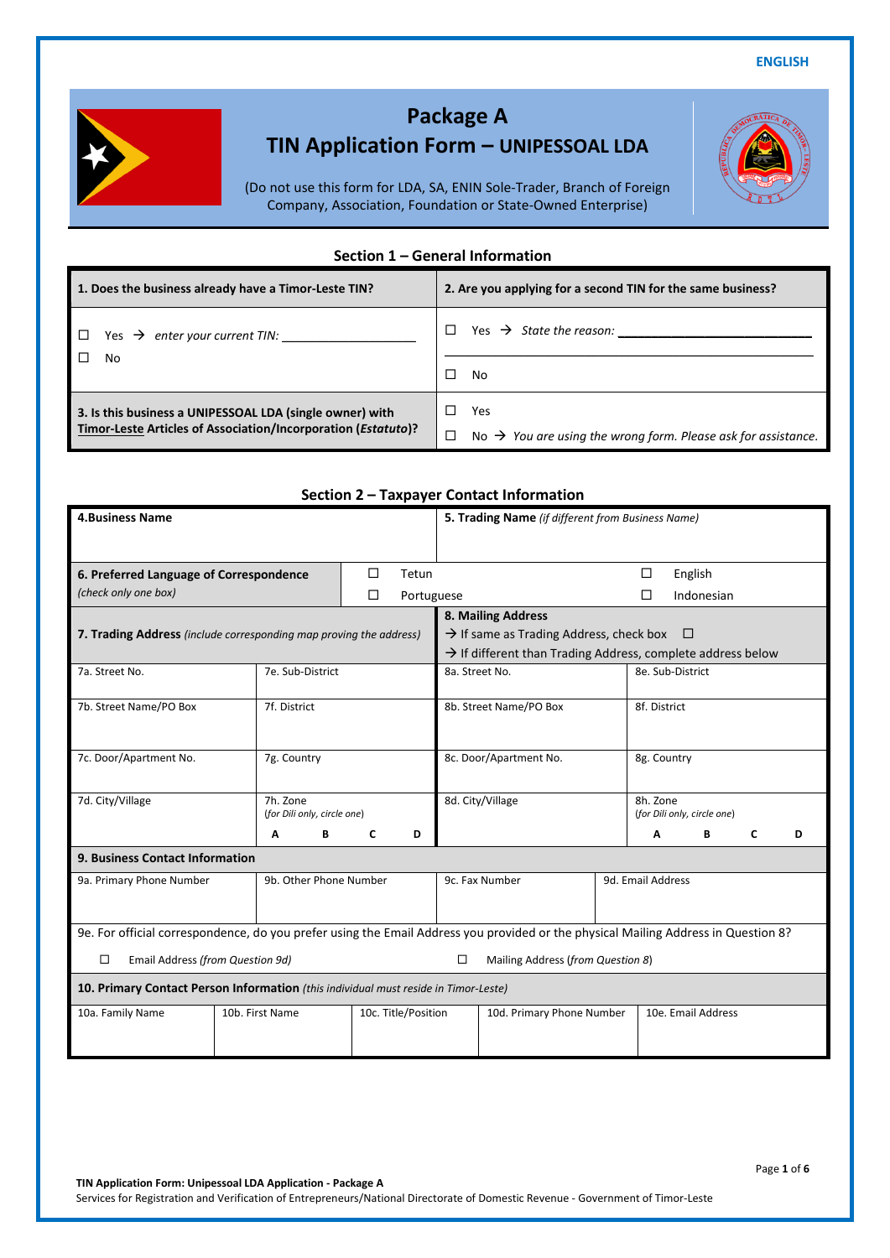**ENGLISH**



# **Package A**

## **TIN Application Form – UNIPESSOAL LDA**

(Do not use this form for LDA, SA, ENIN Sole-Trader, Branch of Foreign Company, Association, Foundation or State-Owned Enterprise)

#### **Section 1 – General Information**

| 1. Does the business already have a Timor-Leste TIN?          | 2. Are you applying for a second TIN for the same business?               |  |  |  |
|---------------------------------------------------------------|---------------------------------------------------------------------------|--|--|--|
| Yes $\rightarrow$ enter your current TIN:                     |                                                                           |  |  |  |
| No                                                            | No                                                                        |  |  |  |
| 3. Is this business a UNIPESSOAL LDA (single owner) with      | Yes                                                                       |  |  |  |
| Timor-Leste Articles of Association/Incorporation (Estatuto)? | No $\rightarrow$ You are using the wrong form. Please ask for assistance. |  |  |  |

|                                                                                     |                                         |                                                   | Section 2 – Taxpayer Contact Information                                                                                           |                           |                                         |                    |   |   |
|-------------------------------------------------------------------------------------|-----------------------------------------|---------------------------------------------------|------------------------------------------------------------------------------------------------------------------------------------|---------------------------|-----------------------------------------|--------------------|---|---|
| <b>4.Business Name</b>                                                              |                                         | 5. Trading Name (if different from Business Name) |                                                                                                                                    |                           |                                         |                    |   |   |
|                                                                                     |                                         |                                                   |                                                                                                                                    |                           |                                         |                    |   |   |
|                                                                                     |                                         | $\Box$<br>Tetun                                   |                                                                                                                                    |                           |                                         |                    |   |   |
| 6. Preferred Language of Correspondence                                             |                                         |                                                   | English<br>$\Box$                                                                                                                  |                           |                                         |                    |   |   |
| (check only one box)                                                                |                                         | п<br>Portuguese                                   | Indonesian                                                                                                                         |                           |                                         |                    |   |   |
|                                                                                     |                                         |                                                   | 8. Mailing Address                                                                                                                 |                           |                                         |                    |   |   |
| 7. Trading Address (include corresponding map proving the address)                  |                                         |                                                   | $\rightarrow$ If same as Trading Address, check box $\Box$                                                                         |                           |                                         |                    |   |   |
|                                                                                     |                                         |                                                   | $\rightarrow$ If different than Trading Address, complete address below                                                            |                           |                                         |                    |   |   |
| 7a. Street No.                                                                      | 7e. Sub-District                        |                                                   | 8a. Street No.                                                                                                                     |                           | 8e. Sub-District                        |                    |   |   |
| 7b. Street Name/PO Box                                                              | 7f. District                            |                                                   | 8b. Street Name/PO Box                                                                                                             |                           | 8f. District                            |                    |   |   |
|                                                                                     |                                         |                                                   |                                                                                                                                    |                           |                                         |                    |   |   |
| 7c. Door/Apartment No.                                                              | 7g. Country                             |                                                   | 8c. Door/Apartment No.                                                                                                             |                           | 8g. Country                             |                    |   |   |
|                                                                                     |                                         |                                                   |                                                                                                                                    |                           |                                         |                    |   |   |
| 7d. City/Village                                                                    | 7h. Zone<br>(for Dili only, circle one) |                                                   | 8d. City/Village                                                                                                                   |                           | 8h. Zone<br>(for Dili only, circle one) |                    |   |   |
|                                                                                     | A<br>В                                  | C<br>D                                            |                                                                                                                                    |                           | A                                       | В                  | C | D |
| 9. Business Contact Information                                                     |                                         |                                                   |                                                                                                                                    |                           |                                         |                    |   |   |
| 9a. Primary Phone Number                                                            | 9b. Other Phone Number                  |                                                   | 9c. Fax Number<br>9d. Email Address                                                                                                |                           |                                         |                    |   |   |
|                                                                                     |                                         |                                                   |                                                                                                                                    |                           |                                         |                    |   |   |
|                                                                                     |                                         |                                                   | 9e. For official correspondence, do you prefer using the Email Address you provided or the physical Mailing Address in Question 8? |                           |                                         |                    |   |   |
| Email Address (from Question 9d)<br>□                                               | Mailing Address (from Question 8)<br>□  |                                                   |                                                                                                                                    |                           |                                         |                    |   |   |
| 10. Primary Contact Person Information (this individual must reside in Timor-Leste) |                                         |                                                   |                                                                                                                                    |                           |                                         |                    |   |   |
| 10a. Family Name                                                                    | 10c. Title/Position<br>10b. First Name  |                                                   |                                                                                                                                    | 10d. Primary Phone Number |                                         | 10e. Email Address |   |   |
|                                                                                     |                                         |                                                   |                                                                                                                                    |                           |                                         |                    |   |   |
|                                                                                     |                                         |                                                   |                                                                                                                                    |                           |                                         |                    |   |   |

#### **Section 2 – Taxpayer Contact Information**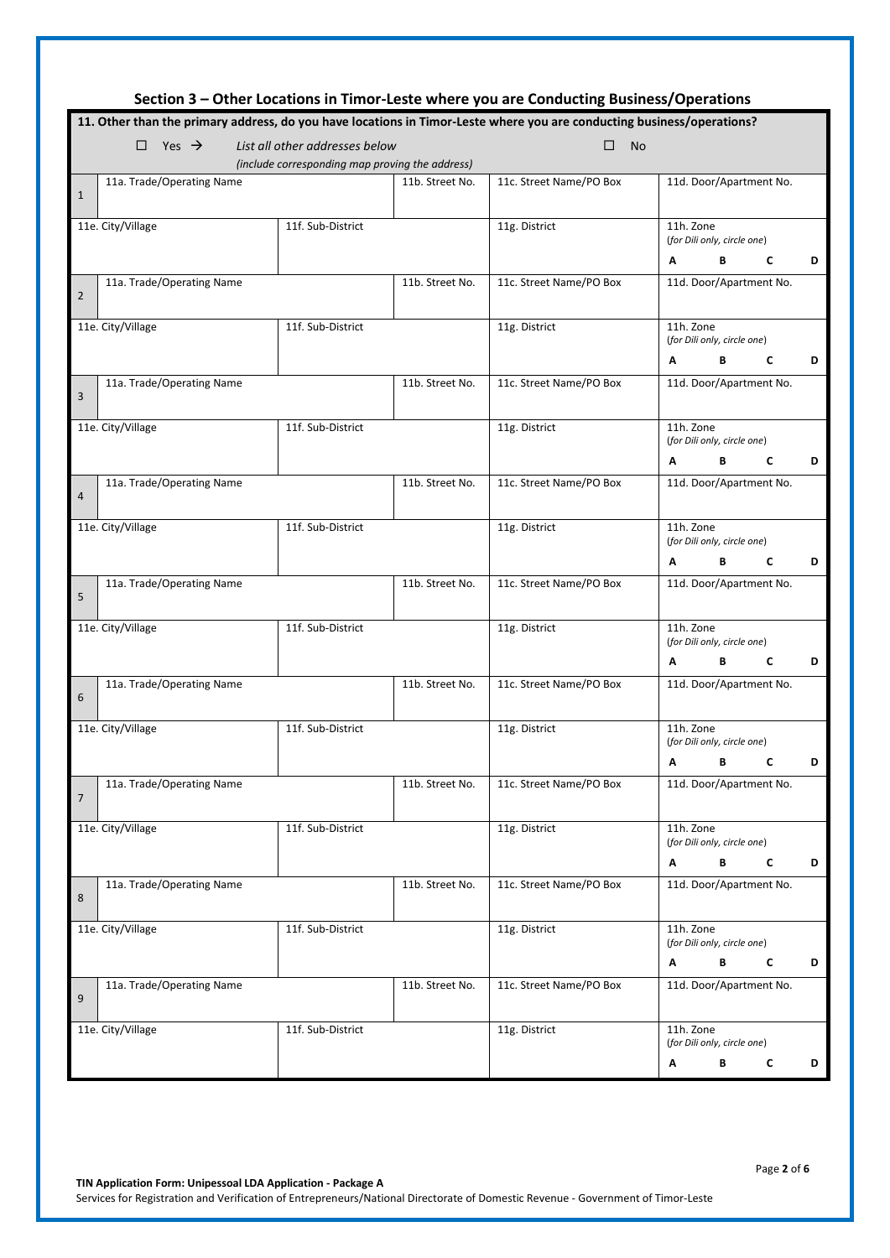| Section 3 – Other Locations in Timor-Leste where you are Conducting Business/Operations                                              |                   |                 |                         |                                                                   |  |  |  |  |  |  |
|--------------------------------------------------------------------------------------------------------------------------------------|-------------------|-----------------|-------------------------|-------------------------------------------------------------------|--|--|--|--|--|--|
| 11. Other than the primary address, do you have locations in Timor-Leste where you are conducting business/operations?               |                   |                 |                         |                                                                   |  |  |  |  |  |  |
| $\Box$ Yes $\rightarrow$<br>List all other addresses below<br>$\Box$<br><b>No</b><br>(include corresponding map proving the address) |                   |                 |                         |                                                                   |  |  |  |  |  |  |
| 11a. Trade/Operating Name<br>$\mathbf{1}$                                                                                            |                   | 11b. Street No. | 11c. Street Name/PO Box | 11d. Door/Apartment No.                                           |  |  |  |  |  |  |
| 11e. City/Village                                                                                                                    | 11f. Sub-District |                 | 11g. District           | 11h. Zone<br>(for Dili only, circle one)<br>В<br>D<br>A<br>C      |  |  |  |  |  |  |
| 11a. Trade/Operating Name<br>$\overline{2}$                                                                                          |                   | 11b. Street No. | 11c. Street Name/PO Box | 11d. Door/Apartment No.                                           |  |  |  |  |  |  |
| 11e. City/Village                                                                                                                    | 11f. Sub-District |                 | 11g. District           | 11h. Zone<br>(for Dili only, circle one)<br>B<br>C<br>D<br>A      |  |  |  |  |  |  |
| 11a. Trade/Operating Name<br>3                                                                                                       |                   | 11b. Street No. | 11c. Street Name/PO Box | 11d. Door/Apartment No.                                           |  |  |  |  |  |  |
| 11e. City/Village                                                                                                                    | 11f. Sub-District |                 | 11g. District           | 11h. Zone<br>(for Dili only, circle one)<br>C<br>D<br>A<br>В      |  |  |  |  |  |  |
| 11a. Trade/Operating Name<br>$\overline{4}$                                                                                          |                   | 11b. Street No. | 11c. Street Name/PO Box | 11d. Door/Apartment No.                                           |  |  |  |  |  |  |
| 11e. City/Village                                                                                                                    | 11f. Sub-District |                 | 11g. District           | 11h. Zone<br>(for Dili only, circle one)<br>C<br>Α<br>В<br>D      |  |  |  |  |  |  |
| 11a. Trade/Operating Name<br>5                                                                                                       |                   | 11b. Street No. | 11c. Street Name/PO Box | 11d. Door/Apartment No.                                           |  |  |  |  |  |  |
| 11e. City/Village                                                                                                                    | 11f. Sub-District |                 | 11g. District           | 11h. Zone<br>(for Dili only, circle one)<br>В<br>C<br>D<br>Α      |  |  |  |  |  |  |
| 11a. Trade/Operating Name<br>6                                                                                                       |                   | 11b. Street No. | 11c. Street Name/PO Box | 11d. Door/Apartment No.                                           |  |  |  |  |  |  |
| 11e. City/Village                                                                                                                    | 11f. Sub-District |                 | 11g. District           | 11h. Zone<br>(for Dili only, circle one)<br><b>B</b> C<br>D.<br>Α |  |  |  |  |  |  |
| 11a. Trade/Operating Name<br>$\overline{7}$                                                                                          |                   | 11b. Street No. | 11c. Street Name/PO Box | 11d. Door/Apartment No.                                           |  |  |  |  |  |  |
| 11e. City/Village                                                                                                                    | 11f. Sub-District |                 | 11g. District           | 11h. Zone<br>(for Dili only, circle one)<br>В<br>C<br>D<br>Α      |  |  |  |  |  |  |
| 11a. Trade/Operating Name<br>8                                                                                                       |                   | 11b. Street No. | 11c. Street Name/PO Box | 11d. Door/Apartment No.                                           |  |  |  |  |  |  |
| 11e. City/Village                                                                                                                    | 11f. Sub-District |                 | 11g. District           | 11h. Zone<br>(for Dili only, circle one)<br>В<br>C<br>D<br>Α      |  |  |  |  |  |  |
| 11a. Trade/Operating Name<br>9                                                                                                       |                   | 11b. Street No. | 11c. Street Name/PO Box | 11d. Door/Apartment No.                                           |  |  |  |  |  |  |
| 11e. City/Village                                                                                                                    | 11f. Sub-District |                 | 11g. District           | 11h. Zone<br>(for Dili only, circle one)                          |  |  |  |  |  |  |
|                                                                                                                                      |                   |                 |                         | В<br>c<br>D<br>А                                                  |  |  |  |  |  |  |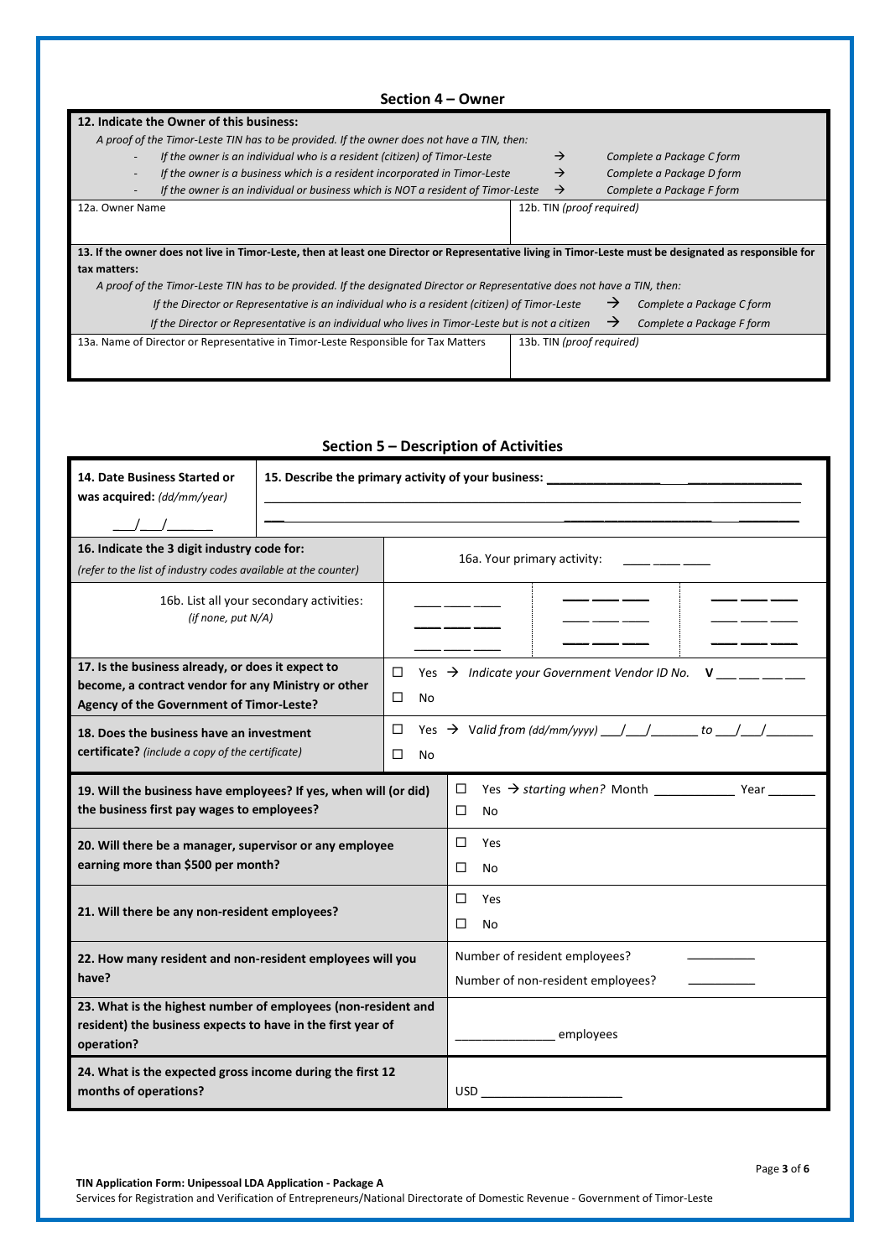| Section 4 – Owner                                                                                                                                       |  |                           |                           |  |  |  |  |  |
|---------------------------------------------------------------------------------------------------------------------------------------------------------|--|---------------------------|---------------------------|--|--|--|--|--|
| 12. Indicate the Owner of this business:                                                                                                                |  |                           |                           |  |  |  |  |  |
| A proof of the Timor-Leste TIN has to be provided. If the owner does not have a TIN, then:                                                              |  |                           |                           |  |  |  |  |  |
| If the owner is an individual who is a resident (citizen) of Timor-Leste                                                                                |  | $\rightarrow$             | Complete a Package C form |  |  |  |  |  |
| If the owner is a business which is a resident incorporated in Timor-Leste                                                                              |  | $\rightarrow$             | Complete a Package D form |  |  |  |  |  |
| If the owner is an individual or business which is NOT a resident of Timor-Leste                                                                        |  | $\rightarrow$             | Complete a Package F form |  |  |  |  |  |
| 12a. Owner Name                                                                                                                                         |  | 12b. TIN (proof required) |                           |  |  |  |  |  |
|                                                                                                                                                         |  |                           |                           |  |  |  |  |  |
| 13. If the owner does not live in Timor-Leste, then at least one Director or Representative living in Timor-Leste must be designated as responsible for |  |                           |                           |  |  |  |  |  |
| tax matters:                                                                                                                                            |  |                           |                           |  |  |  |  |  |
| A proof of the Timor-Leste TIN has to be provided. If the designated Director or Representative does not have a TIN, then:                              |  |                           |                           |  |  |  |  |  |
| If the Director or Representative is an individual who is a resident (citizen) of Timor-Leste                                                           |  | →                         | Complete a Package C form |  |  |  |  |  |
| If the Director or Representative is an individual who lives in Timor-Leste but is not a citizen                                                        |  | →                         | Complete a Package F form |  |  |  |  |  |
| 13a. Name of Director or Representative in Timor-Leste Responsible for Tax Matters                                                                      |  | 13b. TIN (proof required) |                           |  |  |  |  |  |
|                                                                                                                                                         |  |                           |                           |  |  |  |  |  |
|                                                                                                                                                         |  |                           |                           |  |  |  |  |  |

#### **Section 5 – Description of Activities**

| 14. Date Business Started or<br>was acquired: (dd/mm/year)<br>$\begin{tabular}{c} \quad \quad \  \, \text{\_} \quad \  \, \text{\_} \quad \  \, \text{\_} \quad \  \, \text{\_} \quad \  \, \text{\_} \quad \  \, \text{\_} \quad \  \, \text{\_} \quad \  \, \text{\_} \quad \  \, \text{\_} \quad \  \, \text{\_} \quad \  \, \text{\_} \quad \  \, \text{\_} \quad \  \, \text{\_} \quad \  \, \text{\_} \quad \  \, \text{\_} \quad \  \, \text{\_} \quad \  \, \text{\_} \quad \  \, \text{\_} \quad \  \, \text{\_} \$ |                     | 15. Describe the primary activity of your business: ____________________________                                                                                                                                                                                                                                                                             |  |  |  |  |
|------------------------------------------------------------------------------------------------------------------------------------------------------------------------------------------------------------------------------------------------------------------------------------------------------------------------------------------------------------------------------------------------------------------------------------------------------------------------------------------------------------------------------|---------------------|--------------------------------------------------------------------------------------------------------------------------------------------------------------------------------------------------------------------------------------------------------------------------------------------------------------------------------------------------------------|--|--|--|--|
| 16. Indicate the 3 digit industry code for:<br>(refer to the list of industry codes available at the counter)                                                                                                                                                                                                                                                                                                                                                                                                                |                     | 16a. Your primary activity:                                                                                                                                                                                                                                                                                                                                  |  |  |  |  |
| 16b. List all your secondary activities:<br>(if none, put N/A)                                                                                                                                                                                                                                                                                                                                                                                                                                                               |                     |                                                                                                                                                                                                                                                                                                                                                              |  |  |  |  |
| 17. Is the business already, or does it expect to                                                                                                                                                                                                                                                                                                                                                                                                                                                                            | □                   | Yes $\rightarrow$ Indicate your Government Vendor ID No.<br>$\mathsf{V}$ and $\mathsf{V}$ and $\mathsf{V}$ and $\mathsf{V}$ and $\mathsf{V}$ and $\mathsf{V}$ and $\mathsf{V}$ and $\mathsf{V}$ and $\mathsf{V}$ and $\mathsf{V}$ and $\mathsf{V}$ and $\mathsf{V}$ and $\mathsf{V}$ and $\mathsf{V}$ and $\mathsf{V}$ and $\mathsf{V}$ and $\mathsf{V}$ and |  |  |  |  |
| become, a contract vendor for any Ministry or other<br>Agency of the Government of Timor-Leste?                                                                                                                                                                                                                                                                                                                                                                                                                              | □<br>N <sub>0</sub> |                                                                                                                                                                                                                                                                                                                                                              |  |  |  |  |
| 18. Does the business have an investment                                                                                                                                                                                                                                                                                                                                                                                                                                                                                     | □                   | Yes $\rightarrow$ Valid from (dd/mm/yyyy) __ / __ / __ ___ to __ / __ /                                                                                                                                                                                                                                                                                      |  |  |  |  |
| certificate? (include a copy of the certificate)                                                                                                                                                                                                                                                                                                                                                                                                                                                                             | □<br>No             |                                                                                                                                                                                                                                                                                                                                                              |  |  |  |  |
| 19. Will the business have employees? If yes, when will (or did)<br>the business first pay wages to employees?                                                                                                                                                                                                                                                                                                                                                                                                               |                     | □<br>$\Box$<br>No                                                                                                                                                                                                                                                                                                                                            |  |  |  |  |
| 20. Will there be a manager, supervisor or any employee<br>earning more than \$500 per month?                                                                                                                                                                                                                                                                                                                                                                                                                                |                     | Yes<br>П<br>П<br>No                                                                                                                                                                                                                                                                                                                                          |  |  |  |  |
|                                                                                                                                                                                                                                                                                                                                                                                                                                                                                                                              |                     | □<br>Yes                                                                                                                                                                                                                                                                                                                                                     |  |  |  |  |
| 21. Will there be any non-resident employees?                                                                                                                                                                                                                                                                                                                                                                                                                                                                                |                     | □<br>No                                                                                                                                                                                                                                                                                                                                                      |  |  |  |  |
| 22. How many resident and non-resident employees will you                                                                                                                                                                                                                                                                                                                                                                                                                                                                    |                     | Number of resident employees?                                                                                                                                                                                                                                                                                                                                |  |  |  |  |
| have?                                                                                                                                                                                                                                                                                                                                                                                                                                                                                                                        |                     | Number of non-resident employees?                                                                                                                                                                                                                                                                                                                            |  |  |  |  |
| 23. What is the highest number of employees (non-resident and<br>resident) the business expects to have in the first year of<br>operation?                                                                                                                                                                                                                                                                                                                                                                                   | employees           |                                                                                                                                                                                                                                                                                                                                                              |  |  |  |  |
| 24. What is the expected gross income during the first 12<br>months of operations?                                                                                                                                                                                                                                                                                                                                                                                                                                           |                     | USD and the contract of the contract of the contract of the contract of the contract of the contract of the contract of the contract of the contract of the contract of the contract of the contract of the contract of the co                                                                                                                               |  |  |  |  |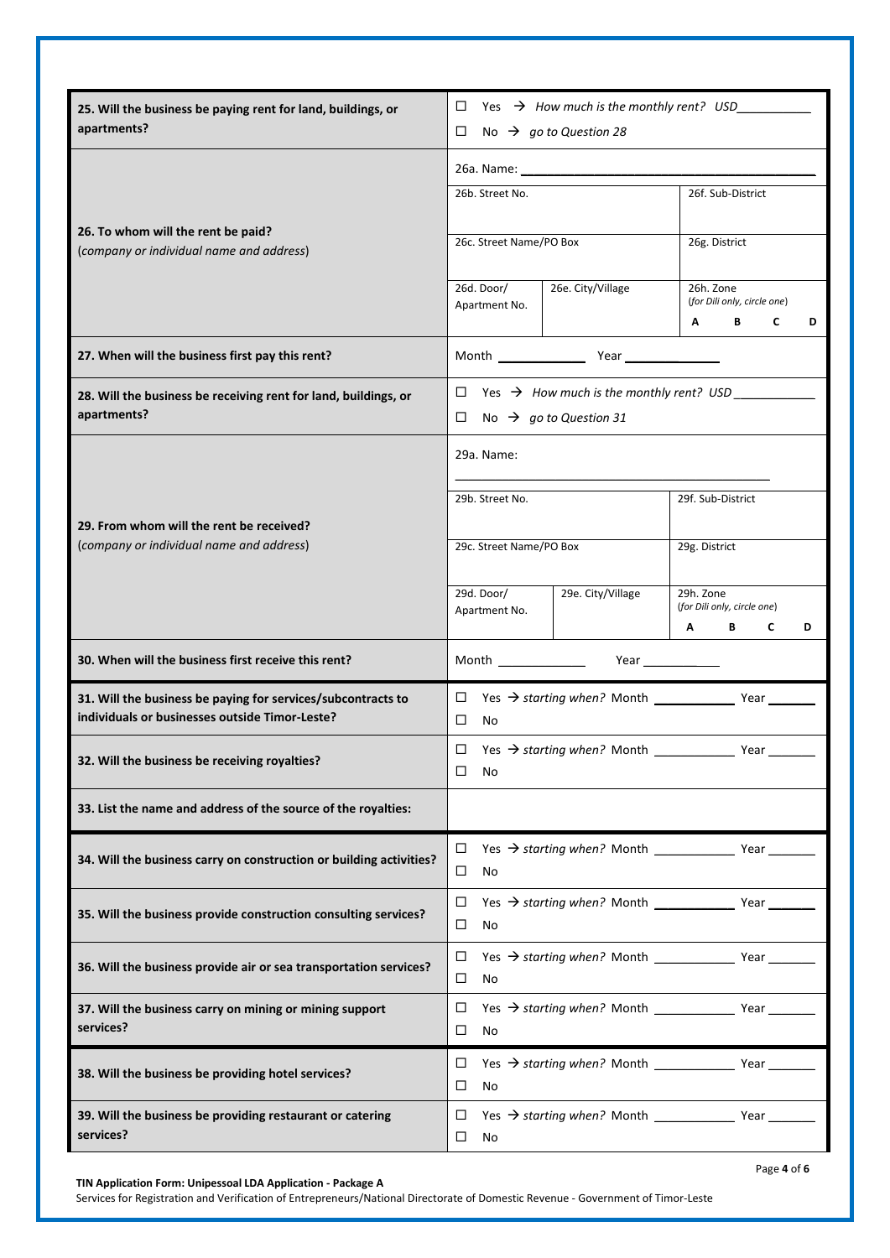| 25. Will the business be paying rent for land, buildings, or<br>apartments?    | Yes $\rightarrow$ How much is the monthly rent? USD $\overline{\phantom{a}}$ |                   |                                                                              |  |  |  |
|--------------------------------------------------------------------------------|------------------------------------------------------------------------------|-------------------|------------------------------------------------------------------------------|--|--|--|
|                                                                                | □<br>No $\rightarrow$ go to Question 28                                      |                   |                                                                              |  |  |  |
|                                                                                |                                                                              |                   |                                                                              |  |  |  |
|                                                                                | 26b. Street No.                                                              |                   | 26f. Sub-District                                                            |  |  |  |
|                                                                                |                                                                              |                   |                                                                              |  |  |  |
| 26. To whom will the rent be paid?<br>(company or individual name and address) | 26c. Street Name/PO Box                                                      |                   | 26g. District                                                                |  |  |  |
|                                                                                |                                                                              |                   |                                                                              |  |  |  |
|                                                                                | 26d. Door/                                                                   | 26e. City/Village | 26h. Zone<br>(for Dili only, circle one)                                     |  |  |  |
|                                                                                | Apartment No.                                                                |                   | C<br>A<br>B<br>D                                                             |  |  |  |
|                                                                                |                                                                              |                   |                                                                              |  |  |  |
| 27. When will the business first pay this rent?                                |                                                                              |                   |                                                                              |  |  |  |
| 28. Will the business be receiving rent for land, buildings, or                | $\Box$ Yes $\rightarrow$ How much is the monthly rent? USD ____              |                   |                                                                              |  |  |  |
| apartments?                                                                    | □<br>No $\rightarrow$ go to Question 31                                      |                   |                                                                              |  |  |  |
|                                                                                |                                                                              |                   |                                                                              |  |  |  |
|                                                                                | 29a. Name:                                                                   |                   |                                                                              |  |  |  |
|                                                                                | 29b. Street No.                                                              |                   | 29f. Sub-District                                                            |  |  |  |
| 29. From whom will the rent be received?                                       |                                                                              |                   |                                                                              |  |  |  |
| (company or individual name and address)                                       | 29c. Street Name/PO Box                                                      |                   | 29g. District                                                                |  |  |  |
|                                                                                |                                                                              |                   |                                                                              |  |  |  |
|                                                                                | 29d. Door/<br>29e. City/Village                                              |                   | 29h. Zone                                                                    |  |  |  |
|                                                                                | Apartment No.                                                                |                   | (for Dili only, circle one)<br>C<br>$A \qquad \qquad$<br>B <sub>a</sub><br>D |  |  |  |
|                                                                                |                                                                              |                   |                                                                              |  |  |  |
| 30. When will the business first receive this rent?                            | <b>Month</b> Month                                                           | Year              |                                                                              |  |  |  |
| 31. Will the business be paying for services/subcontracts to                   | $Yes$ $\rightarrow$ starting when? Month $\qquad$ Year<br>□                  |                   |                                                                              |  |  |  |
| individuals or businesses outside Timor-Leste?                                 | $\Box$<br>No                                                                 |                   |                                                                              |  |  |  |
|                                                                                | $\Box$                                                                       |                   |                                                                              |  |  |  |
| 32. Will the business be receiving royalties?                                  | □<br>No                                                                      |                   |                                                                              |  |  |  |
| 33. List the name and address of the source of the royalties:                  |                                                                              |                   |                                                                              |  |  |  |
|                                                                                |                                                                              |                   |                                                                              |  |  |  |
| 34. Will the business carry on construction or building activities?            | $\Box$                                                                       |                   |                                                                              |  |  |  |
|                                                                                | $\Box$<br>No                                                                 |                   |                                                                              |  |  |  |
| 35. Will the business provide construction consulting services?                | □                                                                            |                   |                                                                              |  |  |  |
|                                                                                | □<br>No                                                                      |                   |                                                                              |  |  |  |
|                                                                                | □                                                                            |                   |                                                                              |  |  |  |
| 36. Will the business provide air or sea transportation services?              | No                                                                           |                   |                                                                              |  |  |  |
| 37. Will the business carry on mining or mining support                        | □                                                                            |                   |                                                                              |  |  |  |
| services?                                                                      | □<br>No                                                                      |                   |                                                                              |  |  |  |
|                                                                                | □                                                                            |                   |                                                                              |  |  |  |
| 38. Will the business be providing hotel services?                             | □<br>No                                                                      |                   |                                                                              |  |  |  |
| 39. Will the business be providing restaurant or catering                      | □                                                                            |                   |                                                                              |  |  |  |
| services?                                                                      | □<br>No                                                                      |                   |                                                                              |  |  |  |
|                                                                                |                                                                              |                   |                                                                              |  |  |  |

Services for Registration and Verification of Entrepreneurs/National Directorate of Domestic Revenue - Government of Timor-Leste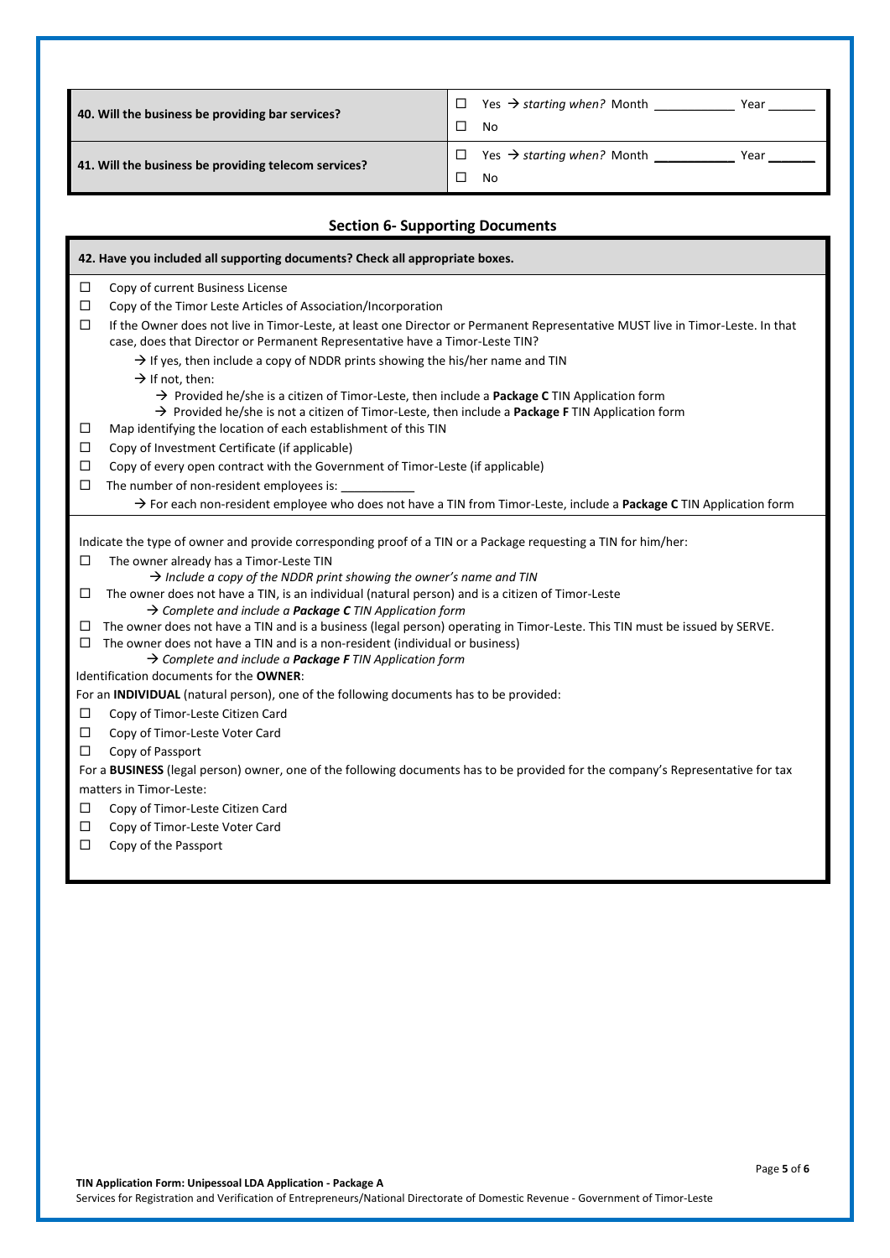| 40. Will the business be providing bar services?     | Yes $\rightarrow$ starting when? Month<br>Year        |
|------------------------------------------------------|-------------------------------------------------------|
|                                                      | No                                                    |
|                                                      | Yes $\rightarrow$ starting when? Month $\_\_$<br>Year |
| 41. Will the business be providing telecom services? | No                                                    |

### **Section 6- Supporting Documents**

|        | 42. Have you included all supporting documents? Check all appropriate boxes.                                                                                                                                                                                                                                                                     |
|--------|--------------------------------------------------------------------------------------------------------------------------------------------------------------------------------------------------------------------------------------------------------------------------------------------------------------------------------------------------|
| □      | Copy of current Business License                                                                                                                                                                                                                                                                                                                 |
| $\Box$ | Copy of the Timor Leste Articles of Association/Incorporation                                                                                                                                                                                                                                                                                    |
| □      | If the Owner does not live in Timor-Leste, at least one Director or Permanent Representative MUST live in Timor-Leste. In that<br>case, does that Director or Permanent Representative have a Timor-Leste TIN?                                                                                                                                   |
|        | $\rightarrow$ If yes, then include a copy of NDDR prints showing the his/her name and TIN                                                                                                                                                                                                                                                        |
|        | $\rightarrow$ If not, then:                                                                                                                                                                                                                                                                                                                      |
|        | $\rightarrow$ Provided he/she is a citizen of Timor-Leste, then include a Package C TIN Application form                                                                                                                                                                                                                                         |
|        | $\rightarrow$ Provided he/she is not a citizen of Timor-Leste, then include a Package F TIN Application form                                                                                                                                                                                                                                     |
| □      | Map identifying the location of each establishment of this TIN                                                                                                                                                                                                                                                                                   |
| □      | Copy of Investment Certificate (if applicable)                                                                                                                                                                                                                                                                                                   |
| □      | Copy of every open contract with the Government of Timor-Leste (if applicable)                                                                                                                                                                                                                                                                   |
| □      | The number of non-resident employees is: _________                                                                                                                                                                                                                                                                                               |
|        | > For each non-resident employee who does not have a TIN from Timor-Leste, include a Package C TIN Application form                                                                                                                                                                                                                              |
| □<br>□ | Indicate the type of owner and provide corresponding proof of a TIN or a Package requesting a TIN for him/her:<br>The owner already has a Timor-Leste TIN<br>$\rightarrow$ Include a copy of the NDDR print showing the owner's name and TIN<br>The owner does not have a TIN, is an individual (natural person) and is a citizen of Timor-Leste |
|        | $\rightarrow$ Complete and include a <b>Package C</b> TIN Application form                                                                                                                                                                                                                                                                       |
| □<br>□ | The owner does not have a TIN and is a business (legal person) operating in Timor-Leste. This TIN must be issued by SERVE.<br>The owner does not have a TIN and is a non-resident (individual or business)<br>$\rightarrow$ Complete and include a Package F TIN Application form                                                                |
|        | Identification documents for the OWNER:                                                                                                                                                                                                                                                                                                          |
|        | For an INDIVIDUAL (natural person), one of the following documents has to be provided:                                                                                                                                                                                                                                                           |
| □      | Copy of Timor-Leste Citizen Card                                                                                                                                                                                                                                                                                                                 |
| □      | Copy of Timor-Leste Voter Card                                                                                                                                                                                                                                                                                                                   |
| □      | Copy of Passport                                                                                                                                                                                                                                                                                                                                 |
|        | For a BUSINESS (legal person) owner, one of the following documents has to be provided for the company's Representative for tax                                                                                                                                                                                                                  |
|        | matters in Timor-Leste:                                                                                                                                                                                                                                                                                                                          |
| □      | Copy of Timor-Leste Citizen Card                                                                                                                                                                                                                                                                                                                 |
| □      | Copy of Timor-Leste Voter Card                                                                                                                                                                                                                                                                                                                   |
| ◻      | Copy of the Passport                                                                                                                                                                                                                                                                                                                             |
|        |                                                                                                                                                                                                                                                                                                                                                  |